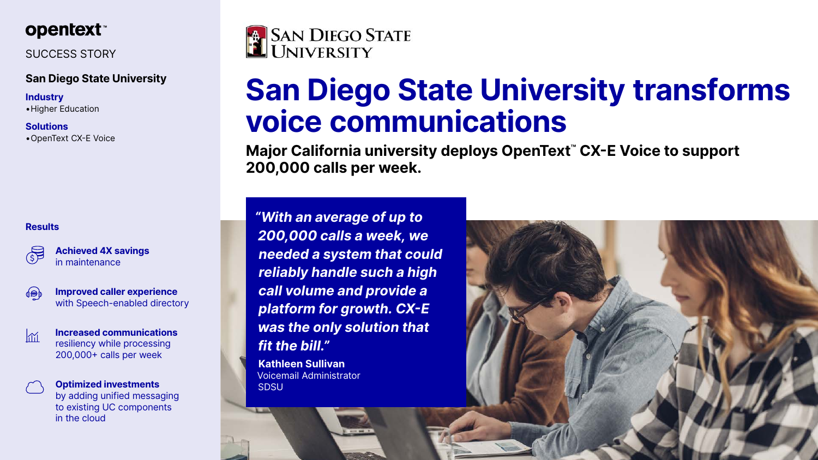

## SUCCESS STORY

### **San Diego State University**

#### **Industry**

•Higher Education

#### **Solutions**

•OpenText CX-E Voice

# **San Diego State University transforms voice communications**

**Major California university deploys OpenText™ CX-E Voice to support 200,000 calls per week.**

*"With an average of up to 200,000 calls a week, we needed a system that could reliably handle such a high call volume and provide a platform for growth. CX-E was the only solution that fit the bill."*

**Kathleen Sullivan**  Voicemail Administrator SDSU





#### **Results**



**Achieved 4X savings**  in maintenance



 $\sqrt{11}$ 

**Improved caller experience**  with Speech-enabled directory

**Increased communications**  resiliency while processing 200,000+ calls per week

**Optimized investments**  by adding unified messaging to existing UC components in the cloud

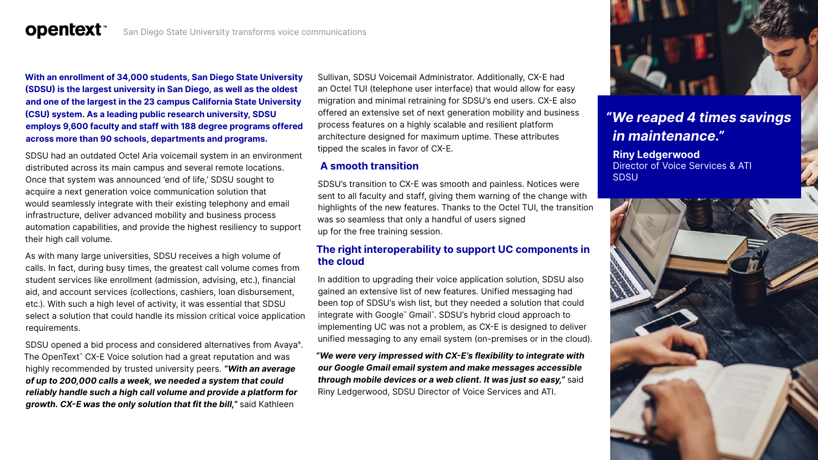#### San Diego State University transforms voice communications

**With an enrollment of 34,000 students, San Diego State University (SDSU) is the largest university in San Diego, as well as the oldest and one of the largest in the 23 campus California State University (CSU) system. As a leading public research university, SDSU employs 9,600 faculty and staff with 188 degree programs offered across more than 90 schools, departments and programs.**

**opentext™** 

SDSU had an outdated Octel Aria voicemail system in an environment distributed across its main campus and several remote locations. Once that system was announced 'end of life,' SDSU sought to acquire a next generation voice communication solution that would seamlessly integrate with their existing telephony and email infrastructure, deliver advanced mobility and business process automation capabilities, and provide the highest resiliency to support their high call volume.

As with many large universities, SDSU receives a high volume of calls. In fact, during busy times, the greatest call volume comes from student services like enrollment (admission, advising, etc.), financial aid, and account services (collections, cashiers, loan disbursement, etc.). With such a high level of activity, it was essential that SDSU select a solution that could handle its mission critical voice application requirements.

SDSU opened a bid process and considered alternatives from Avaya®. The OpenText<sup>™</sup> CX-E Voice solution had a great reputation and was highly recommended by trusted university peers. *"With an average of up to 200,000 calls a week, we needed a system that could reliably handle such a high call volume and provide a platform for growth. CX-E was the only solution that fit the bill,"* said Kathleen

Sullivan, SDSU Voicemail Administrator. Additionally, CX-E had an Octel TUI (telephone user interface) that would allow for easy migration and minimal retraining for SDSU's end users. CX-E also offered an extensive set of next generation mobility and business process features on a highly scalable and resilient platform architecture designed for maximum uptime. These attributes tipped the scales in favor of CX-E.

#### **A smooth transition**

SDSU's transition to CX-E was smooth and painless. Notices were sent to all faculty and staff, giving them warning of the change with highlights of the new features. Thanks to the Octel TUI, the transition was so seamless that only a handful of users signed up for the free training session.

#### **The right interoperability to support UC components in the cloud**

In addition to upgrading their voice application solution, SDSU also gained an extensive list of new features. Unified messaging had been top of SDSU's wish list, but they needed a solution that could integrate with Google™ Gmail™ . SDSU's hybrid cloud approach to implementing UC was not a problem, as CX-E is designed to deliver unified messaging to any email system (on-premises or in the cloud).

*"We were very impressed with CX-E's flexibility to integrate with our Google Gmail email system and make messages accessible through mobile devices or a web client. It was just so easy,"* said Riny Ledgerwood, SDSU Director of Voice Services and ATI.



## *"We reaped 4 times savings in maintenance."*

#### **Riny Ledgerwood**

Director of Voice Services & ATI SDSU